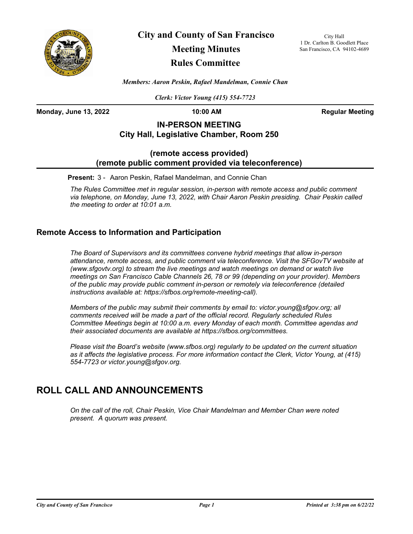

**City and County of San Francisco**

# **Meeting Minutes**

## **Rules Committee**

City Hall 1 Dr. Carlton B. Goodlett Place San Francisco, CA 94102-4689

*Members: Aaron Peskin, Rafael Mandelman, Connie Chan*

*Clerk: Victor Young (415) 554-7723*

**Monday, June 13, 2022 10:00 AM Regular Meeting**

## **IN-PERSON MEETING City Hall, Legislative Chamber, Room 250**

#### **(remote access provided) (remote public comment provided via teleconference)**

**Present:** 3 - Aaron Peskin, Rafael Mandelman, and Connie Chan

*The Rules Committee met in regular session, in-person with remote access and public comment via telephone, on Monday, June 13, 2022, with Chair Aaron Peskin presiding. Chair Peskin called the meeting to order at 10:01 a.m.*

### **Remote Access to Information and Participation**

*The Board of Supervisors and its committees convene hybrid meetings that allow in-person attendance, remote access, and public comment via teleconference. Visit the SFGovTV website at (www.sfgovtv.org) to stream the live meetings and watch meetings on demand or watch live meetings on San Francisco Cable Channels 26, 78 or 99 (depending on your provider). Members of the public may provide public comment in-person or remotely via teleconference (detailed instructions available at: https://sfbos.org/remote-meeting-call).* 

*Members of the public may submit their comments by email to: victor.young@sfgov.org; all comments received will be made a part of the official record. Regularly scheduled Rules Committee Meetings begin at 10:00 a.m. every Monday of each month. Committee agendas and their associated documents are available at https://sfbos.org/committees.*

*Please visit the Board's website (www.sfbos.org) regularly to be updated on the current situation as it affects the legislative process. For more information contact the Clerk, Victor Young, at (415) 554-7723 or victor.young@sfgov.org.*

## **ROLL CALL AND ANNOUNCEMENTS**

*On the call of the roll, Chair Peskin, Vice Chair Mandelman and Member Chan were noted present. A quorum was present.*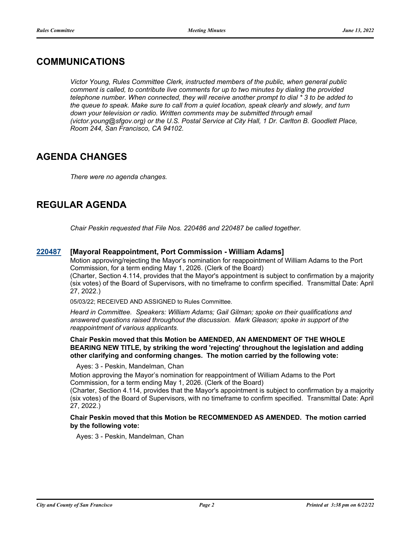## **COMMUNICATIONS**

*Victor Young, Rules Committee Clerk, instructed members of the public, when general public comment is called, to contribute live comments for up to two minutes by dialing the provided telephone number. When connected, they will receive another prompt to dial \* 3 to be added to the queue to speak. Make sure to call from a quiet location, speak clearly and slowly, and turn*  down your television or radio. Written comments may be submitted through email *(victor.young@sfgov.org) or the U.S. Postal Service at City Hall, 1 Dr. Carlton B. Goodlett Place, Room 244, San Francisco, CA 94102.*

## **AGENDA CHANGES**

*There were no agenda changes.*

## **REGULAR AGENDA**

*Chair Peskin requested that File Nos. 220486 and 220487 be called together.*

#### **[220487](http://sfgov.legistar.com/gateway.aspx?m=l&id=38679) [Mayoral Reappointment, Port Commission - William Adams]**

Motion approving/rejecting the Mayor's nomination for reappointment of William Adams to the Port Commission, for a term ending May 1, 2026. (Clerk of the Board) (Charter, Section 4.114, provides that the Mayor's appointment is subject to confirmation by a majority (six votes) of the Board of Supervisors, with no timeframe to confirm specified. Transmittal Date: April 27, 2022.)

05/03/22; RECEIVED AND ASSIGNED to Rules Committee.

*Heard in Committee. Speakers: William Adams; Gail Gilman; spoke on their qualifications and answered questions raised throughout the discussion. Mark Gleason; spoke in support of the reappointment of various applicants.*

**Chair Peskin moved that this Motion be AMENDED, AN AMENDMENT OF THE WHOLE BEARING NEW TITLE, by striking the word 'rejecting' throughout the legislation and adding other clarifying and conforming changes. The motion carried by the following vote:**

Ayes: 3 - Peskin, Mandelman, Chan

Motion approving the Mayor's nomination for reappointment of William Adams to the Port Commission, for a term ending May 1, 2026. (Clerk of the Board)

(Charter, Section 4.114, provides that the Mayor's appointment is subject to confirmation by a majority (six votes) of the Board of Supervisors, with no timeframe to confirm specified. Transmittal Date: April 27, 2022.)

**Chair Peskin moved that this Motion be RECOMMENDED AS AMENDED. The motion carried by the following vote:**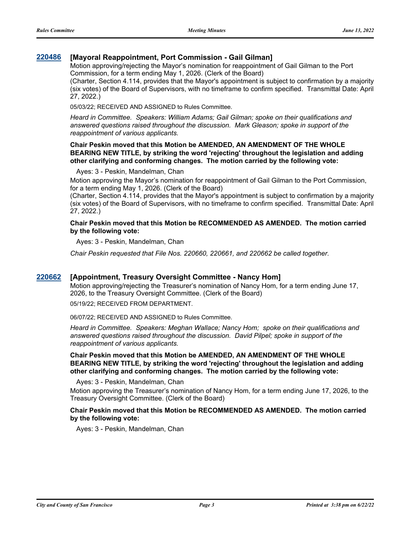#### **[220486](http://sfgov.legistar.com/gateway.aspx?m=l&id=38678) [Mayoral Reappointment, Port Commission - Gail Gilman]**

Motion approving/rejecting the Mayor's nomination for reappointment of Gail Gilman to the Port Commission, for a term ending May 1, 2026. (Clerk of the Board)

(Charter, Section 4.114, provides that the Mayor's appointment is subject to confirmation by a majority (six votes) of the Board of Supervisors, with no timeframe to confirm specified. Transmittal Date: April 27, 2022.)

05/03/22; RECEIVED AND ASSIGNED to Rules Committee.

*Heard in Committee. Speakers: William Adams; Gail Gilman; spoke on their qualifications and answered questions raised throughout the discussion. Mark Gleason; spoke in support of the reappointment of various applicants.*

#### **Chair Peskin moved that this Motion be AMENDED, AN AMENDMENT OF THE WHOLE BEARING NEW TITLE, by striking the word 'rejecting' throughout the legislation and adding other clarifying and conforming changes. The motion carried by the following vote:**

#### Ayes: 3 - Peskin, Mandelman, Chan

Motion approving the Mayor's nomination for reappointment of Gail Gilman to the Port Commission, for a term ending May 1, 2026. (Clerk of the Board)

(Charter, Section 4.114, provides that the Mayor's appointment is subject to confirmation by a majority (six votes) of the Board of Supervisors, with no timeframe to confirm specified. Transmittal Date: April 27, 2022.)

#### **Chair Peskin moved that this Motion be RECOMMENDED AS AMENDED. The motion carried by the following vote:**

Ayes: 3 - Peskin, Mandelman, Chan

*Chair Peskin requested that File Nos. 220660, 220661, and 220662 be called together.*

#### **[220662](http://sfgov.legistar.com/gateway.aspx?m=l&id=38854) [Appointment, Treasury Oversight Committee - Nancy Hom]**

Motion approving/rejecting the Treasurer's nomination of Nancy Hom, for a term ending June 17, 2026, to the Treasury Oversight Committee. (Clerk of the Board) 05/19/22; RECEIVED FROM DEPARTMENT.

06/07/22; RECEIVED AND ASSIGNED to Rules Committee.

*Heard in Committee. Speakers: Meghan Wallace; Nancy Hom; spoke on their qualifications and answered questions raised throughout the discussion. David Pilpel; spoke in support of the reappointment of various applicants.*

**Chair Peskin moved that this Motion be AMENDED, AN AMENDMENT OF THE WHOLE BEARING NEW TITLE, by striking the word 'rejecting' throughout the legislation and adding other clarifying and conforming changes. The motion carried by the following vote:**

Ayes: 3 - Peskin, Mandelman, Chan

Motion approving the Treasurer's nomination of Nancy Hom, for a term ending June 17, 2026, to the Treasury Oversight Committee. (Clerk of the Board)

#### **Chair Peskin moved that this Motion be RECOMMENDED AS AMENDED. The motion carried by the following vote:**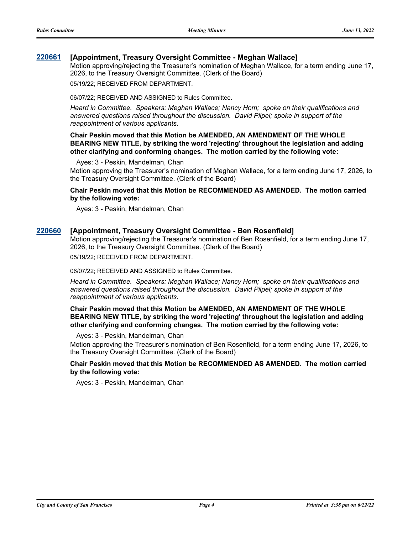#### **[220661](http://sfgov.legistar.com/gateway.aspx?m=l&id=38853) [Appointment, Treasury Oversight Committee - Meghan Wallace]**

Motion approving/rejecting the Treasurer's nomination of Meghan Wallace, for a term ending June 17, 2026, to the Treasury Oversight Committee. (Clerk of the Board)

05/19/22; RECEIVED FROM DEPARTMENT.

06/07/22; RECEIVED AND ASSIGNED to Rules Committee.

*Heard in Committee. Speakers: Meghan Wallace; Nancy Hom; spoke on their qualifications and answered questions raised throughout the discussion. David Pilpel; spoke in support of the reappointment of various applicants.*

**Chair Peskin moved that this Motion be AMENDED, AN AMENDMENT OF THE WHOLE BEARING NEW TITLE, by striking the word 'rejecting' throughout the legislation and adding other clarifying and conforming changes. The motion carried by the following vote:**

Ayes: 3 - Peskin, Mandelman, Chan

Motion approving the Treasurer's nomination of Meghan Wallace, for a term ending June 17, 2026, to the Treasury Oversight Committee. (Clerk of the Board)

**Chair Peskin moved that this Motion be RECOMMENDED AS AMENDED. The motion carried by the following vote:**

Ayes: 3 - Peskin, Mandelman, Chan

#### **[220660](http://sfgov.legistar.com/gateway.aspx?m=l&id=38852) [Appointment, Treasury Oversight Committee - Ben Rosenfield]**

Motion approving/rejecting the Treasurer's nomination of Ben Rosenfield, for a term ending June 17, 2026, to the Treasury Oversight Committee. (Clerk of the Board) 05/19/22; RECEIVED FROM DEPARTMENT.

06/07/22; RECEIVED AND ASSIGNED to Rules Committee.

*Heard in Committee. Speakers: Meghan Wallace; Nancy Hom; spoke on their qualifications and answered questions raised throughout the discussion. David Pilpel; spoke in support of the reappointment of various applicants.*

**Chair Peskin moved that this Motion be AMENDED, AN AMENDMENT OF THE WHOLE BEARING NEW TITLE, by striking the word 'rejecting' throughout the legislation and adding other clarifying and conforming changes. The motion carried by the following vote:**

Ayes: 3 - Peskin, Mandelman, Chan

Motion approving the Treasurer's nomination of Ben Rosenfield, for a term ending June 17, 2026, to the Treasury Oversight Committee. (Clerk of the Board)

#### **Chair Peskin moved that this Motion be RECOMMENDED AS AMENDED. The motion carried by the following vote:**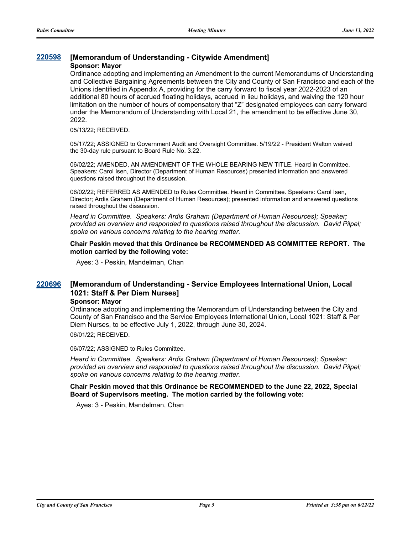#### **[220598](http://sfgov.legistar.com/gateway.aspx?m=l&id=38790) [Memorandum of Understanding - Citywide Amendment]**

#### **Sponsor: Mayor**

Ordinance adopting and implementing an Amendment to the current Memorandums of Understanding and Collective Bargaining Agreements between the City and County of San Francisco and each of the Unions identified in Appendix A, providing for the carry forward to fiscal year 2022-2023 of an additional 80 hours of accrued floating holidays, accrued in lieu holidays, and waiving the 120 hour limitation on the number of hours of compensatory that "Z" designated employees can carry forward under the Memorandum of Understanding with Local 21, the amendment to be effective June 30, 2022.

#### 05/13/22; RECEIVED.

05/17/22; ASSIGNED to Government Audit and Oversight Committee. 5/19/22 - President Walton waived the 30-day rule pursuant to Board Rule No. 3.22.

06/02/22; AMENDED, AN AMENDMENT OF THE WHOLE BEARING NEW TITLE. Heard in Committee. Speakers: Carol Isen, Director (Department of Human Resources) presented information and answered questions raised throughout the dissussion.

06/02/22; REFERRED AS AMENDED to Rules Committee. Heard in Committee. Speakers: Carol Isen, Director; Ardis Graham (Department of Human Resources); presented information and answered questions raised throughout the dissussion.

*Heard in Committee. Speakers: Ardis Graham (Department of Human Resources); Speaker; provided an overview and responded to questions raised throughout the discussion. David Pilpel; spoke on various concerns relating to the hearing matter.*

**Chair Peskin moved that this Ordinance be RECOMMENDED AS COMMITTEE REPORT. The motion carried by the following vote:**

Ayes: 3 - Peskin, Mandelman, Chan

#### **[Memorandum of Understanding - Service Employees International Union, Local 1021: Staff & Per Diem Nurses] [220696](http://sfgov.legistar.com/gateway.aspx?m=l&id=38888)**

#### **Sponsor: Mayor**

Ordinance adopting and implementing the Memorandum of Understanding between the City and County of San Francisco and the Service Employees International Union, Local 1021: Staff & Per Diem Nurses, to be effective July 1, 2022, through June 30, 2024.

06/01/22; RECEIVED.

06/07/22; ASSIGNED to Rules Committee.

*Heard in Committee. Speakers: Ardis Graham (Department of Human Resources); Speaker; provided an overview and responded to questions raised throughout the discussion. David Pilpel; spoke on various concerns relating to the hearing matter.*

**Chair Peskin moved that this Ordinance be RECOMMENDED to the June 22, 2022, Special Board of Supervisors meeting. The motion carried by the following vote:**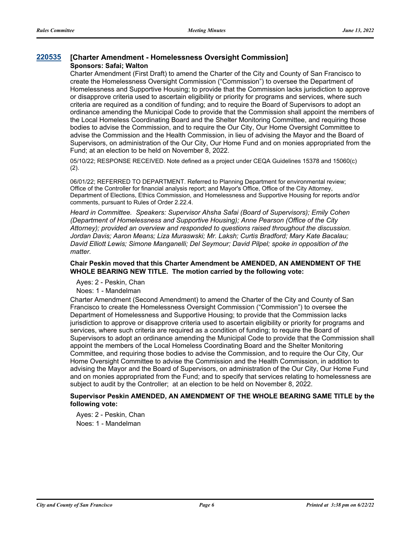#### **[220535](http://sfgov.legistar.com/gateway.aspx?m=l&id=38727) [Charter Amendment - Homelessness Oversight Commission] Sponsors: Safai; Walton**

Charter Amendment (First Draft) to amend the Charter of the City and County of San Francisco to create the Homelessness Oversight Commission ("Commission") to oversee the Department of Homelessness and Supportive Housing; to provide that the Commission lacks jurisdiction to approve or disapprove criteria used to ascertain eligibility or priority for programs and services, where such criteria are required as a condition of funding; and to require the Board of Supervisors to adopt an ordinance amending the Municipal Code to provide that the Commission shall appoint the members of the Local Homeless Coordinating Board and the Shelter Monitoring Committee, and requiring those bodies to advise the Commission, and to require the Our City, Our Home Oversight Committee to advise the Commission and the Health Commission, in lieu of advising the Mayor and the Board of Supervisors, on administration of the Our City, Our Home Fund and on monies appropriated from the Fund; at an election to be held on November 8, 2022.

05/10/22; RESPONSE RECEIVED. Note defined as a project under CEQA Guidelines 15378 and 15060(c) (2).

06/01/22; REFERRED TO DEPARTMENT. Referred to Planning Department for environmental review; Office of the Controller for financial analysis report; and Mayor's Office, Office of the City Attorney, Department of Elections, Ethics Commission, and Homelessness and Supportive Housing for reports and/or comments, pursuant to Rules of Order 2.22.4.

*Heard in Committee. Speakers: Supervisor Ahsha Safai (Board of Supervisors); Emily Cohen (Department of Homelessness and Supportive Housing); Anne Pearson (Office of the City Attorney); provided an overview and responded to questions raised throughout the discussion. Jordan Davis; Aaron Means; Liza Muraswski; Mr. Laksh; Curtis Bradford; Mary Kate Bacalau; David Elliott Lewis; Simone Manganelli; Del Seymour; David Pilpel; spoke in opposition of the matter.*

#### **Chair Peskin moved that this Charter Amendment be AMENDED, AN AMENDMENT OF THE WHOLE BEARING NEW TITLE. The motion carried by the following vote:**

Ayes: 2 - Peskin, Chan

Noes: 1 - Mandelman

Charter Amendment (Second Amendment) to amend the Charter of the City and County of San Francisco to create the Homelessness Oversight Commission ("Commission") to oversee the Department of Homelessness and Supportive Housing; to provide that the Commission lacks jurisdiction to approve or disapprove criteria used to ascertain eligibility or priority for programs and services, where such criteria are required as a condition of funding; to require the Board of Supervisors to adopt an ordinance amending the Municipal Code to provide that the Commission shall appoint the members of the Local Homeless Coordinating Board and the Shelter Monitoring Committee, and requiring those bodies to advise the Commission, and to require the Our City, Our Home Oversight Committee to advise the Commission and the Health Commission, in addition to advising the Mayor and the Board of Supervisors, on administration of the Our City, Our Home Fund and on monies appropriated from the Fund; and to specify that services relating to homelessness are subject to audit by the Controller; at an election to be held on November 8, 2022.

#### **Supervisor Peskin AMENDED, AN AMENDMENT OF THE WHOLE BEARING SAME TITLE by the following vote:**

Ayes: 2 - Peskin, Chan Noes: 1 - Mandelman